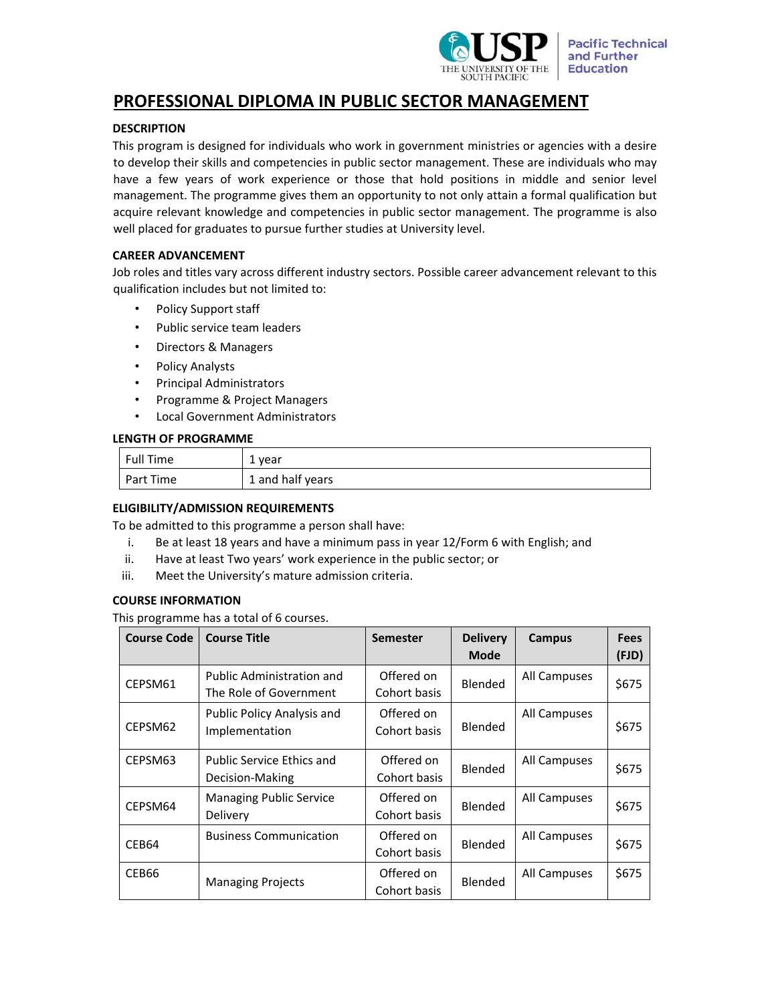

# **PROFESSIONAL DIPLOMA IN PUBLIC SECTOR MANAGEMENT**

# **DESCRIPTION**

This program is designed for individuals who work in government ministries or agencies with a desire to develop their skills and competencies in public sector management. These are individuals who may have a few years of work experience or those that hold positions in middle and senior level management. The programme gives them an opportunity to not only attain a formal qualification but acquire relevant knowledge and competencies in public sector management. The programme is also well placed for graduates to pursue further studies at University level.

## **CAREER ADVANCEMENT**

Job roles and titles vary across different industry sectors. Possible career advancement relevant to this qualification includes but not limited to:

- Policy Support staff
- Public service team leaders
- Directors & Managers
- Policy Analysts
- Principal Administrators
- Programme & Project Managers
- Local Government Administrators

## **LENGTH OF PROGRAMME**

| <b>Full Time</b> | 1 year           |
|------------------|------------------|
| Part Time        | 1 and half years |

## **ELIGIBILITY/ADMISSION REQUIREMENTS**

To be admitted to this programme a person shall have:

- i. Be at least 18 years and have a minimum pass in year 12/Form 6 with English; and
- ii. Have at least Two years' work experience in the public sector; or
- iii. Meet the University's mature admission criteria.

## **COURSE INFORMATION**

This programme has a total of 6 courses.

| <b>Course Code</b> | <b>Course Title</b>                                        | <b>Semester</b>            | <b>Delivery</b><br><b>Mode</b> | Campus       | <b>Fees</b><br>(FJD) |
|--------------------|------------------------------------------------------------|----------------------------|--------------------------------|--------------|----------------------|
| CEPSM61            | <b>Public Administration and</b><br>The Role of Government | Offered on<br>Cohort basis | Blended                        | All Campuses | \$675                |
| CEPSM62            | Public Policy Analysis and<br>Implementation               | Offered on<br>Cohort basis | Blended                        | All Campuses | \$675                |
| CEPSM63            | <b>Public Service Ethics and</b><br>Decision-Making        | Offered on<br>Cohort basis | Blended                        | All Campuses | \$675                |
| CEPSM64            | <b>Managing Public Service</b><br>Delivery                 | Offered on<br>Cohort basis | Blended                        | All Campuses | \$675                |
| CEB64              | <b>Business Communication</b>                              | Offered on<br>Cohort basis | Blended                        | All Campuses | \$675                |
| CEB66              | <b>Managing Projects</b>                                   | Offered on<br>Cohort basis | Blended                        | All Campuses | \$675                |